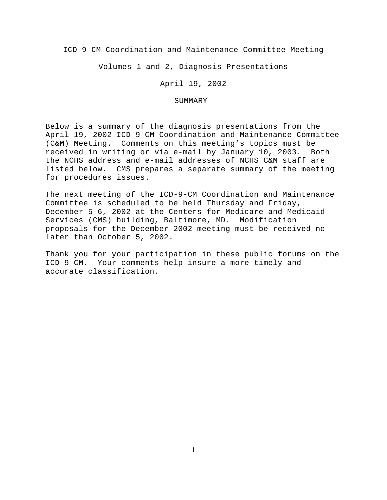ICD-9-CM Coordination and Maintenance Committee Meeting

Volumes 1 and 2, Diagnosis Presentations

April 19, 2002

# SUMMARY

Below is a summary of the diagnosis presentations from the April 19, 2002 ICD-9-CM Coordination and Maintenance Committee (C&M) Meeting. Comments on this meeting's topics must be received in writing or via e-mail by January 10, 2003. Both the NCHS address and e-mail addresses of NCHS C&M staff are listed below. CMS prepares a separate summary of the meeting for procedures issues.

The next meeting of the ICD-9-CM Coordination and Maintenance Committee is scheduled to be held Thursday and Friday, December 5-6, 2002 at the Centers for Medicare and Medicaid Services (CMS) building, Baltimore, MD. Modification proposals for the December 2002 meeting must be received no later than October 5, 2002.

Thank you for your participation in these public forums on the ICD-9-CM. Your comments help insure a more timely and accurate classification.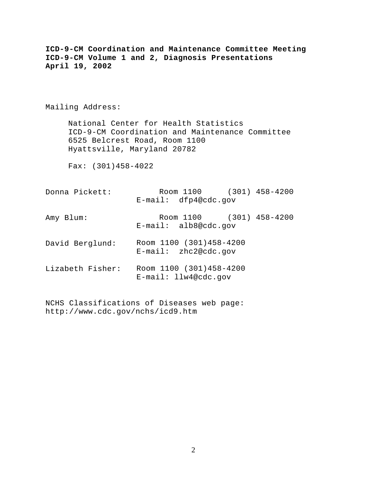| ICD-9-CM Coordination and Maintenance Committee Meeting<br>ICD-9-CM Volume 1 and 2, Diagnosis Presentations<br>April 19, 2002                            |                                                     |
|----------------------------------------------------------------------------------------------------------------------------------------------------------|-----------------------------------------------------|
| Mailing Address:                                                                                                                                         |                                                     |
| National Center for Health Statistics<br>ICD-9-CM Coordination and Maintenance Committee<br>6525 Belcrest Road, Room 1100<br>Hyattsville, Maryland 20782 |                                                     |
| Fax: $(301)458-4022$                                                                                                                                     |                                                     |
| Donna Pickett:                                                                                                                                           | Room 1100 (301) 458-4200<br>E-mail: dfp4@cdc.gov    |
| Amy Blum:                                                                                                                                                | Room 1100 (301) 458-4200<br>$E$ -mail: alb8@cdc.gov |
| David Berglund:                                                                                                                                          | Room 1100 (301)458-4200<br>$E$ -mail: zhc2@cdc.gov  |
| Lizabeth Fisher:                                                                                                                                         | Room 1100 (301)458-4200<br>$E$ -mail: llw4@cdc.gov  |
|                                                                                                                                                          |                                                     |

NCHS Classifications of Diseases web page: http://www.cdc.gov/nchs/icd9.htm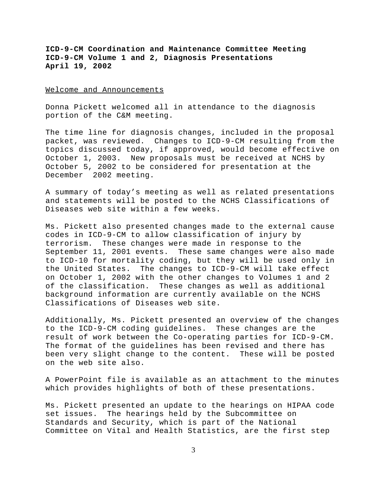Welcome and Announcements

Donna Pickett welcomed all in attendance to the diagnosis portion of the C&M meeting.

The time line for diagnosis changes, included in the proposal packet, was reviewed. Changes to ICD-9-CM resulting from the topics discussed today, if approved, would become effective on October 1, 2003. New proposals must be received at NCHS by October 5, 2002 to be considered for presentation at the December 2002 meeting.

A summary of today's meeting as well as related presentations and statements will be posted to the NCHS Classifications of Diseases web site within a few weeks.

Ms. Pickett also presented changes made to the external cause codes in ICD-9-CM to allow classification of injury by terrorism. These changes were made in response to the September 11, 2001 events. These same changes were also made to ICD-10 for mortality coding, but they will be used only in the United States. The changes to ICD-9-CM will take effect on October 1, 2002 with the other changes to Volumes 1 and 2 of the classification. These changes as well as additional background information are currently available on the NCHS Classifications of Diseases web site.

Additionally, Ms. Pickett presented an overview of the changes to the ICD-9-CM coding guidelines. These changes are the result of work between the Co-operating parties for ICD-9-CM. The format of the guidelines has been revised and there has been very slight change to the content. These will be posted on the web site also.

A PowerPoint file is available as an attachment to the minutes which provides highlights of both of these presentations.

Ms. Pickett presented an update to the hearings on HIPAA code set issues. The hearings held by the Subcommittee on Standards and Security, which is part of the National Committee on Vital and Health Statistics, are the first step

3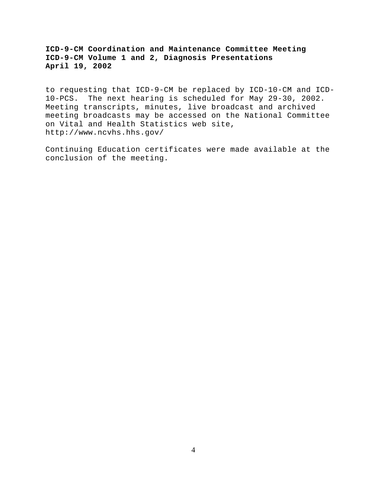to requesting that ICD-9-CM be replaced by ICD-10-CM and ICD-10-PCS. The next hearing is scheduled for May 29-30, 2002. Meeting transcripts, minutes, live broadcast and archived meeting broadcasts may be accessed on the National Committee on Vital and Health Statistics web site, http://www.ncvhs.hhs.gov/

Continuing Education certificates were made available at the conclusion of the meeting.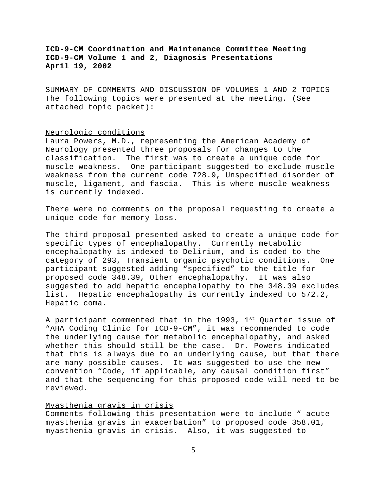SUMMARY OF COMMENTS AND DISCUSSION OF VOLUMES 1 AND 2 TOPICS The following topics were presented at the meeting. (See attached topic packet):

### Neurologic conditions

Laura Powers, M.D., representing the American Academy of Neurology presented three proposals for changes to the classification. The first was to create a unique code for muscle weakness. One participant suggested to exclude muscle weakness from the current code 728.9, Unspecified disorder of muscle, ligament, and fascia. This is where muscle weakness is currently indexed.

There were no comments on the proposal requesting to create a unique code for memory loss.

The third proposal presented asked to create a unique code for specific types of encephalopathy. Currently metabolic encephalopathy is indexed to Delirium, and is coded to the category of 293, Transient organic psychotic conditions. One participant suggested adding "specified" to the title for proposed code 348.39, Other encephalopathy. It was also suggested to add hepatic encephalopathy to the 348.39 excludes list. Hepatic encephalopathy is currently indexed to 572.2, Hepatic coma.

A participant commented that in the 1993, 1st Quarter issue of "AHA Coding Clinic for ICD-9-CM", it was recommended to code the underlying cause for metabolic encephalopathy, and asked whether this should still be the case. Dr. Powers indicated that this is always due to an underlying cause, but that there are many possible causes. It was suggested to use the new convention "Code, if applicable, any causal condition first" and that the sequencing for this proposed code will need to be reviewed.

## Myasthenia gravis in crisis

Comments following this presentation were to include " acute myasthenia gravis in exacerbation" to proposed code 358.01, myasthenia gravis in crisis. Also, it was suggested to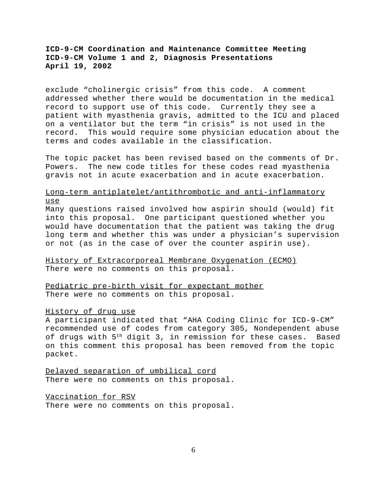exclude "cholinergic crisis" from this code. A comment addressed whether there would be documentation in the medical record to support use of this code. Currently they see a patient with myasthenia gravis, admitted to the ICU and placed on a ventilator but the term "in crisis" is not used in the record. This would require some physician education about the terms and codes available in the classification.

The topic packet has been revised based on the comments of Dr. Powers. The new code titles for these codes read myasthenia gravis not in acute exacerbation and in acute exacerbation.

# Long-term antiplatelet/antithrombotic and anti-inflammatory use

Many questions raised involved how aspirin should (would) fit into this proposal. One participant questioned whether you would have documentation that the patient was taking the drug long term and whether this was under a physician's supervision or not (as in the case of over the counter aspirin use).

History of Extracorporeal Membrane Oxygenation (ECMO) There were no comments on this proposal.

Pediatric pre-birth visit for expectant mother There were no comments on this proposal.

## History of drug use

A participant indicated that "AHA Coding Clinic for ICD-9-CM" recommended use of codes from category 305, Nondependent abuse of drugs with 5<sup>th</sup> digit 3, in remission for these cases. Based on this comment this proposal has been removed from the topic packet.

Delayed separation of umbilical cord There were no comments on this proposal.

Vaccination for RSV There were no comments on this proposal.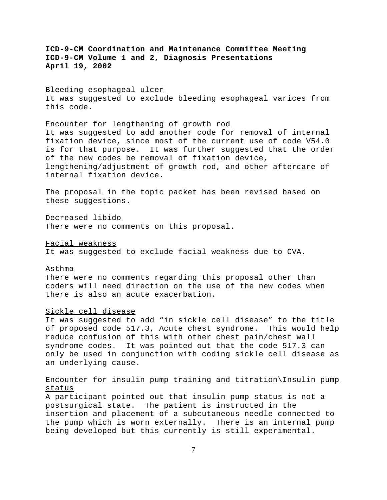#### Bleeding esophageal ulcer

It was suggested to exclude bleeding esophageal varices from this code.

#### Encounter for lengthening of growth rod

It was suggested to add another code for removal of internal fixation device, since most of the current use of code V54.0 is for that purpose. It was further suggested that the order of the new codes be removal of fixation device, lengthening/adjustment of growth rod, and other aftercare of internal fixation device.

The proposal in the topic packet has been revised based on these suggestions.

Decreased libido There were no comments on this proposal.

Facial weakness

It was suggested to exclude facial weakness due to CVA.

### Asthma

There were no comments regarding this proposal other than coders will need direction on the use of the new codes when there is also an acute exacerbation.

#### Sickle cell disease

It was suggested to add "in sickle cell disease" to the title of proposed code 517.3, Acute chest syndrome. This would help reduce confusion of this with other chest pain/chest wall syndrome codes. It was pointed out that the code 517.3 can only be used in conjunction with coding sickle cell disease as an underlying cause.

# Encounter for insulin pump training and titration\Insulin pump status

A participant pointed out that insulin pump status is not a postsurgical state. The patient is instructed in the insertion and placement of a subcutaneous needle connected to the pump which is worn externally. There is an internal pump being developed but this currently is still experimental.